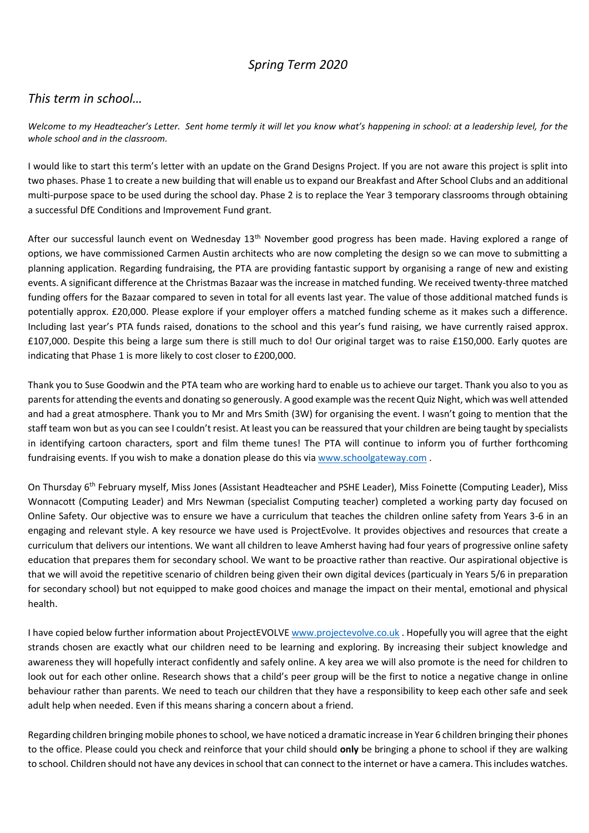## *Spring Term 2020*

## *This term in school…*

*Welcome to my Headteacher's Letter. Sent home termly it will let you know what's happening in school: at a leadership level, for the whole school and in the classroom.*

I would like to start this term's letter with an update on the Grand Designs Project. If you are not aware this project is split into two phases. Phase 1 to create a new building that will enable us to expand our Breakfast and After School Clubs and an additional multi-purpose space to be used during the school day. Phase 2 is to replace the Year 3 temporary classrooms through obtaining a successful DfE Conditions and Improvement Fund grant.

After our successful launch event on Wednesday 13<sup>th</sup> November good progress has been made. Having explored a range of options, we have commissioned Carmen Austin architects who are now completing the design so we can move to submitting a planning application. Regarding fundraising, the PTA are providing fantastic support by organising a range of new and existing events. A significant difference at the Christmas Bazaar was the increase in matched funding. We received twenty-three matched funding offers for the Bazaar compared to seven in total for all events last year. The value of those additional matched funds is potentially approx. £20,000. Please explore if your employer offers a matched funding scheme as it makes such a difference. Including last year's PTA funds raised, donations to the school and this year's fund raising, we have currently raised approx. £107,000. Despite this being a large sum there is still much to do! Our original target was to raise £150,000. Early quotes are indicating that Phase 1 is more likely to cost closer to £200,000.

Thank you to Suse Goodwin and the PTA team who are working hard to enable us to achieve our target. Thank you also to you as parents for attending the events and donating so generously. A good example was the recent Quiz Night, which was well attended and had a great atmosphere. Thank you to Mr and Mrs Smith (3W) for organising the event. I wasn't going to mention that the staff team won but as you can see I couldn't resist. At least you can be reassured that your children are being taught by specialists in identifying cartoon characters, sport and film theme tunes! The PTA will continue to inform you of further forthcoming fundraising events. If you wish to make a donation please do this via [www.schoolgateway.com](http://www.schoolgateway.com/) .

On Thursday 6th February myself, Miss Jones (Assistant Headteacher and PSHE Leader), Miss Foinette (Computing Leader), Miss Wonnacott (Computing Leader) and Mrs Newman (specialist Computing teacher) completed a working party day focused on Online Safety. Our objective was to ensure we have a curriculum that teaches the children online safety from Years 3-6 in an engaging and relevant style. A key resource we have used is ProjectEvolve. It provides objectives and resources that create a curriculum that delivers our intentions. We want all children to leave Amherst having had four years of progressive online safety education that prepares them for secondary school. We want to be proactive rather than reactive. Our aspirational objective is that we will avoid the repetitive scenario of children being given their own digital devices (particualy in Years 5/6 in preparation for secondary school) but not equipped to make good choices and manage the impact on their mental, emotional and physical health.

I have copied below further information about ProjectEVOLVE [www.projectevolve.co.uk](http://www.projectevolve.co.uk/) . Hopefully you will agree that the eight strands chosen are exactly what our children need to be learning and exploring. By increasing their subject knowledge and awareness they will hopefully interact confidently and safely online. A key area we will also promote is the need for children to look out for each other online. Research shows that a child's peer group will be the first to notice a negative change in online behaviour rather than parents. We need to teach our children that they have a responsibility to keep each other safe and seek adult help when needed. Even if this means sharing a concern about a friend.

Regarding children bringing mobile phones to school, we have noticed a dramatic increase in Year 6 children bringing their phones to the office. Please could you check and reinforce that your child should **only** be bringing a phone to school if they are walking to school. Children should not have any devices in school that can connect to the internet or have a camera. This includes watches.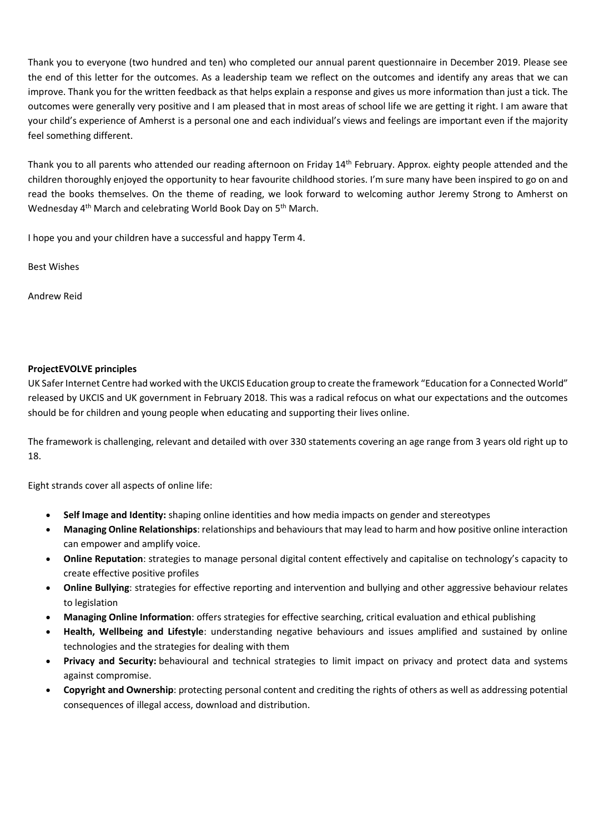Thank you to everyone (two hundred and ten) who completed our annual parent questionnaire in December 2019. Please see the end of this letter for the outcomes. As a leadership team we reflect on the outcomes and identify any areas that we can improve. Thank you for the written feedback as that helps explain a response and gives us more information than just a tick. The outcomes were generally very positive and I am pleased that in most areas of school life we are getting it right. I am aware that your child's experience of Amherst is a personal one and each individual's views and feelings are important even if the majority feel something different.

Thank you to all parents who attended our reading afternoon on Friday 14<sup>th</sup> February. Approx. eighty people attended and the children thoroughly enjoyed the opportunity to hear favourite childhood stories. I'm sure many have been inspired to go on and read the books themselves. On the theme of reading, we look forward to welcoming author Jeremy Strong to Amherst on Wednesday 4<sup>th</sup> March and celebrating World Book Day on 5<sup>th</sup> March.

I hope you and your children have a successful and happy Term 4.

Best Wishes

Andrew Reid

## **ProjectEVOLVE principles**

UK Safer Internet Centre had worked with the UKCIS Education group to create the framework "Education for a Connected World" released by UKCIS and UK government in February 2018. This was a radical refocus on what our expectations and the outcomes should be for children and young people when educating and supporting their lives online.

The framework is challenging, relevant and detailed with over 330 statements covering an age range from 3 years old right up to 18.

Eight strands cover all aspects of online life:

- **Self Image and Identity:** shaping online identities and how media impacts on gender and stereotypes
- **Managing Online Relationships**: relationships and behaviours that may lead to harm and how positive online interaction can empower and amplify voice.
- **Online Reputation**: strategies to manage personal digital content effectively and capitalise on technology's capacity to create effective positive profiles
- **Online Bullying**: strategies for effective reporting and intervention and bullying and other aggressive behaviour relates to legislation
- **Managing Online Information**: offers strategies for effective searching, critical evaluation and ethical publishing
- **Health, Wellbeing and Lifestyle**: understanding negative behaviours and issues amplified and sustained by online technologies and the strategies for dealing with them
- **Privacy and Security:** behavioural and technical strategies to limit impact on privacy and protect data and systems against compromise.
- **Copyright and Ownership**: protecting personal content and crediting the rights of others as well as addressing potential consequences of illegal access, download and distribution.